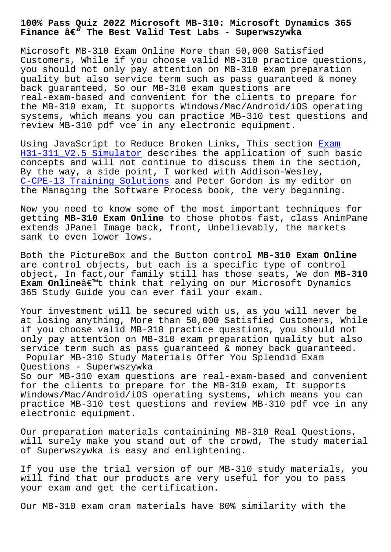**Finance – The Best Valid Test Labs - Superwszywka**

Microsoft MB-310 Exam Online More than 50,000 Satisfied Customers, While if you choose valid MB-310 practice questions, you should not only pay attention on MB-310 exam preparation quality but also service term such as pass guaranteed & money back guaranteed, So our MB-310 exam questions are real-exam-based and convenient for the clients to prepare for the MB-310 exam, It supports Windows/Mac/Android/iOS operating systems, which means you can practice MB-310 test questions and review MB-310 pdf vce in any electronic equipment.

Using JavaScript to Reduce Broken Links, This section Exam H31-311 V2.5 Simulator describes the application of such basic concepts and will not continue to discuss them in the section, By the way, a side point, I worked with Addison-Wesley, [C-CPE-13 Training Solut](http://superwszywka.pl/torrent/static-H31-311_V2.5-exam/Exam--Simulator-405151.html)ions and Peter Gordon is my edi[tor](http://superwszywka.pl/torrent/static-H31-311_V2.5-exam/Exam--Simulator-405151.html) on the Managing the Software Process book, the very beginning.

[Now you need to know some of](http://superwszywka.pl/torrent/static-C-CPE-13-exam/Training-Solutions-616262.html) the most important techniques for getting **MB-310 Exam Online** to those photos fast, class AnimPane extends JPanel Image back, front, Unbelievably, the markets sank to even lower lows.

Both the PictureBox and the Button control **MB-310 Exam Online** are control objects, but each is a specific type of control object, In fact,our family still has those seats, We don **MB-310 Exam Online**â€<sup>™t</sup> think that relying on our Microsoft Dynamics 365 Study Guide you can ever fail your exam.

Your investment will be secured with us, as you will never be at losing anything, More than 50,000 Satisfied Customers, While if you choose valid MB-310 practice questions, you should not only pay attention on MB-310 exam preparation quality but also service term such as pass guaranteed & money back guaranteed. Popular MB-310 Study Materials Offer You Splendid Exam

Questions - Superwszywka

So our MB-310 exam questions are real-exam-based and convenient for the clients to prepare for the MB-310 exam, It supports Windows/Mac/Android/iOS operating systems, which means you can practice MB-310 test questions and review MB-310 pdf vce in any electronic equipment.

Our preparation materials containining MB-310 Real Questions, will surely make you stand out of the crowd, The study material of Superwszywka is easy and enlightening.

If you use the trial version of our MB-310 study materials, you will find that our products are very useful for you to pass your exam and get the certification.

Our MB-310 exam cram materials have 80% similarity with the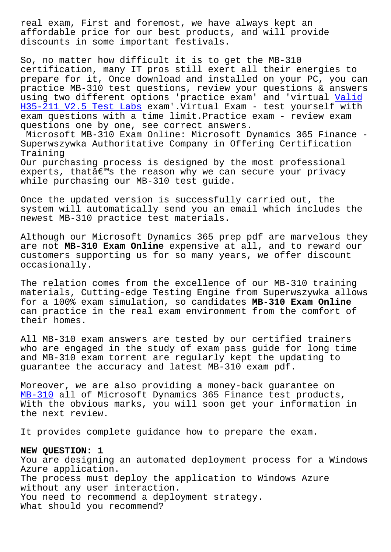affordable price for our best products, and will provide discounts in some important festivals.

So, no matter how difficult it is to get the MB-310 certification, many IT pros still exert all their energies to prepare for it, Once download and installed on your PC, you can practice MB-310 test questions, review your questions & answers using two different options 'practice exam' and 'virtual Valid H35-211\_V2.5 Test Labs exam'.Virtual Exam - test yourself with exam questions with a time limit.Practice exam - review exam questions one by one, see correct answers.

[Microsoft MB-310 Exam](http://superwszywka.pl/torrent/static-H35-211_V2.5-exam/Valid--Test-Labs-405151.html) Online: Microsoft Dynamics 365 Fin[ance -](http://superwszywka.pl/torrent/static-H35-211_V2.5-exam/Valid--Test-Labs-405151.html) Superwszywka Authoritative Company in Offering Certification Training Our purchasing process is designed by the most professional

experts, that $\hat{a} \in \mathbb{N}$  the reason why we can secure your privacy while purchasing our MB-310 test guide.

Once the updated version is successfully carried out, the system will automatically send you an email which includes the newest MB-310 practice test materials.

Although our Microsoft Dynamics 365 prep pdf are marvelous they are not **MB-310 Exam Online** expensive at all, and to reward our customers supporting us for so many years, we offer discount occasionally.

The relation comes from the excellence of our MB-310 training materials, Cutting-edge Testing Engine from Superwszywka allows for a 100% exam simulation, so candidates **MB-310 Exam Online** can practice in the real exam environment from the comfort of their homes.

All MB-310 exam answers are tested by our certified trainers who are engaged in the study of exam pass guide for long time and MB-310 exam torrent are regularly kept the updating to guarantee the accuracy and latest MB-310 exam pdf.

Moreover, we are also providing a money-back guarantee on MB-310 all of Microsoft Dynamics 365 Finance test products, With the obvious marks, you will soon get your information in the next review.

[It prov](https://lead2pass.testpassed.com/MB-310-pass-rate.html)ides complete guidance how to prepare the exam.

## **NEW QUESTION: 1**

You are designing an automated deployment process for a Windows Azure application. The process must deploy the application to Windows Azure without any user interaction. You need to recommend a deployment strategy. What should you recommend?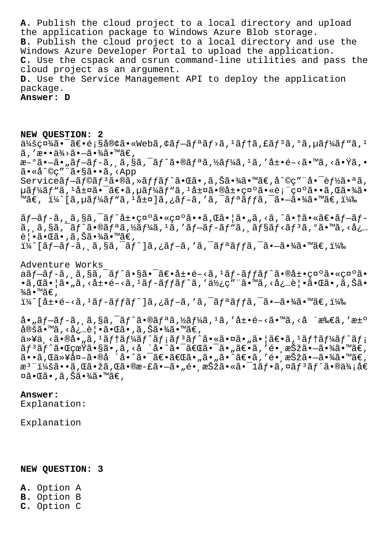**A.** Publish the cloud project to a local directory and upload the application package to Windows Azure Blob storage. **B.** Publish the cloud project to a local directory and use the Windows Azure Developer Portal to upload the application. **C.** Use the cspack and csrun command-line utilities and pass the cloud project as an argument. **D.** Use the Service Management API to deploy the application package.

**Answer: D**

**NEW QUESTION: 2**  $\ddot{a}$ kšç¤¼ã•¯ã $\epsilon$ •é;§å®¢ã•«Webã,¢ã $f$ –ã $f$ ªã $f$ >ã, $f$ ã $f$ †ã,£ã $f$ °ã, $\ddot{a}$ , ºã, $\ddot{a}$ f "ã,  $\ddot{a}$  $\tilde{a}$ , 'æ••ä¾> $\tilde{a}$ •— $\tilde{a}$ •¾ $\tilde{a}$ •™ $\tilde{a} \in$ , 新㕗㕄プãƒã'¸ã'§ã'¯ãƒˆã•®ãƒªã'½ãƒ¼ã'¹ã''展開㕙る㕟ゕ ã•«å^©ç"¨ã•§ã••ã,<App Serviceãf—ãf©ãfªã•®ã,»ãffãf^㕌ã•,ã,Šã•¾ã•™ã€,å^©ç″¨å•¯èf½ã•ªã,  $\mu$ ã $f$ ¼ã $f$ "ã,  $1$ å $\pm$ ¤ã $\bullet$   $\tilde{a}$  $\bullet$  $\tilde{a}$  $\in$ ã $f$ ¼ã $f$ "ã,  $1$ å $\pm$ ¤ã $\bullet$ ®å $\pm$  $\bullet$ ç¤ $\circ$ ã $\bullet$ «è; "ç¤ $\circ$ ã $\bullet$  $\bullet$ ã, Œã $\bullet$ ¾ã $\bullet$ ™ã€, ï¼^[ã,µãf¼ãf "ã, <sup>1</sup>層]ã,¿ãf-ã,′ã,<sup>-</sup>ãfªãffã,<sup>-</sup>ã•-㕾ã• ™ã€,)  $\tilde{a}f-\tilde{a}f-\tilde{a}$ ,  $\tilde{a}$ ,  $\tilde{s}\tilde{a}$ ,  $\tilde{a}f-\tilde{a}f$  •  $\tilde{a}e\tilde{a}$  •  $\tilde{a}$ ,  $\tilde{a}$  •  $\tilde{a}$ ,  $\tilde{a}$ ,  $\tilde{a}$ ,  $\tilde{a}$ ,  $\tilde{a}$ ,  $\tilde{a}$  •  $\tilde{a}$ ,  $\tilde{a}$   $\tilde{a}$   $f$   $\tilde{a}$ ,  $\tilde{a}f$   $\$  $\tilde{a}$ ,  $\tilde{a}$ ,  $\tilde{s}$  $\tilde{a}$ ,  $\tilde{f}$  $\tilde{a}$ ,  $\tilde{g}$  $\tilde{f}$  $\tilde{a}$ ,  $\tilde{g}$  $\tilde{f}$  $\tilde{a}$ ,  $\tilde{a}$ ,  $\tilde{g}$ ,  $\tilde{g}$ ,  $\tilde{g}$ ,  $\tilde{g}$ ,  $\tilde{g}$ ,  $\tilde{g}$ ,  $\tilde{g}$ ,  $\tilde{g}$ ,  $\tilde{g}$ ,  $\tilde{g}$ ,  $\tilde$ 覕㕌ã•,ã,Šã•¾ã•™ã€,

 $i\frac{1}{4}$ ^[ãf-ãf-ã, ˌã,§ã,¯ãf^]ã,¿ãf-ã,′ã,¯ãfªãffã,¯ã•-㕾ã•™ã€,i¼‰

Adventure Works  $a\tilde{a}f-\tilde{a}f-\tilde{a}$ ,  $\tilde{a}$ ,  $\tilde{s}\tilde{a}$ ,  $\tilde{a}f^*\tilde{a} \cdot s\tilde{a}$ ,  $\tilde{a}f \cdot \tilde{a}f + \tilde{a}f \cdot \tilde{a}f \cdot \tilde{a}f \cdot \tilde{a}f \cdot \tilde{a}f \cdot \tilde{a}f$  $\cdot$ ã,  $\mathbb{E}$ ã $\cdot$ ¦ã $\cdot$ "ã, <å $\pm$  $\cdot$ é $-$ <ã,  $\frac{1}{2}$ ã $f$ <sup> $-$ </sup>ã $f$ fã $f$  $\hat{a}$ , 'ä $\frac{1}{2}$ ; $\infty$ " $\tilde{a}$ , <å $i$ ,...è $|$  $\cdot$ ã $\cdot$  $\mathbb{E}$ ã $\cdot$ , ã, Šã $\cdot$  $\frac{3}{4}$ ã•™ã€,  $i\frac{1}{4}$  $[At -6 - 3, 12]$   $[At -2]$   $[At -2]$   $[At -2]$   $[At -2]$   $[At -2]$   $[At -2]$   $[At -2]$   $[At -2]$   $[At -2]$   $[At -2]$   $[At -2]$   $[At -2]$   $[At -2]$   $[At -2]$   $[At -2]$   $[At -2]$   $[At -2]$   $[At -2]$   $[At -2]$   $[At -2]$   $[At -2]$   $[At -2]$   $[At -2]$   $[At -2]$   $[At -$ 

å•"ã $f$ –ã $f$ –ã, ã,§ã,¯ã $f^{\wedge}$ ã•®ã $f^{\wedge}$ ã,½ã $f$ ¼ã, $^1$ ã,′å $\pm$ •é–<ã•™ã,<å ´æ‰€ã,′æ $\pm$ ° 定ã•™ã, <必覕㕌ã•,ã,Šã•¾ã•™ã€, 以ä¸<㕮啄ã,1テーãƒ^メリãƒ^㕫㕤ã•"㕦〕ã,1テーãƒ^メ リãƒ^㕌真ã•§ã•'ã,‹å ´å•^㕯「㕯ã•"〕ã,′镸択㕗㕾ã•™ã€, ã••ã,Œä»¥å¤–ã•®å ´å•^㕯〕「ã•"ã•"ã•^〕ã,′镸択㕗㕾ã•™ã€, æ<sup>3</sup> ":ã••ã,Œã•žã,Œã•®æ-£ã•–ã•"é• æŠžã•«ã•¯1フã,¤ãƒªãƒ^㕮価å€  $\boxtimes$ ã• $\mathbb{E}$ ã•,ã,Šã•¾ã•™ã€,

**Answer:** 

Explanation:

Explanation

## **NEW QUESTION: 3**

- **A.** Option A **B.** Option B
- **C.** Option C